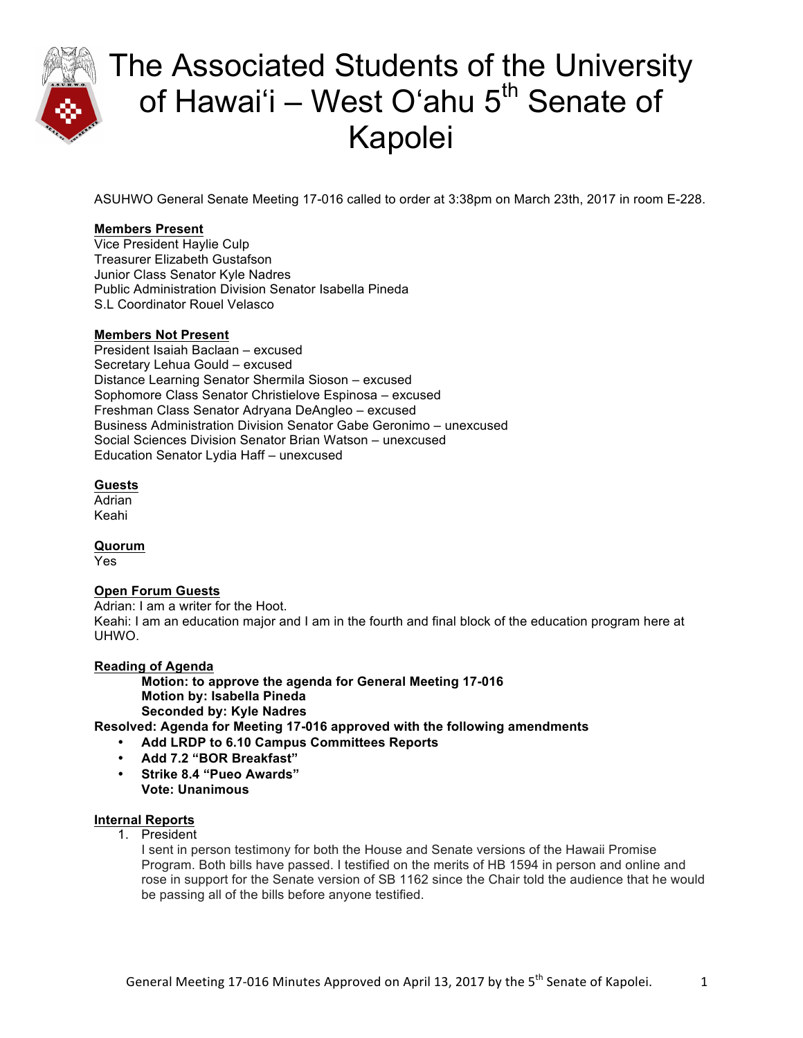

ASUHWO General Senate Meeting 17-016 called to order at 3:38pm on March 23th, 2017 in room E-228.

### **Members Present**

Vice President Haylie Culp Treasurer Elizabeth Gustafson Junior Class Senator Kyle Nadres Public Administration Division Senator Isabella Pineda S.L Coordinator Rouel Velasco

### **Members Not Present**

President Isaiah Baclaan – excused Secretary Lehua Gould – excused Distance Learning Senator Shermila Sioson – excused Sophomore Class Senator Christielove Espinosa – excused Freshman Class Senator Adryana DeAngleo – excused Business Administration Division Senator Gabe Geronimo – unexcused Social Sciences Division Senator Brian Watson – unexcused Education Senator Lydia Haff – unexcused

### **Guests**

Adrian Keahi

**Quorum**

Yes

### **Open Forum Guests**

Adrian: I am a writer for the Hoot. Keahi: I am an education major and I am in the fourth and final block of the education program here at UHWO.

### **Reading of Agenda**

**Motion: to approve the agenda for General Meeting 17-016 Motion by: Isabella Pineda Seconded by: Kyle Nadres**

**Resolved: Agenda for Meeting 17-016 approved with the following amendments** 

- **Add LRDP to 6.10 Campus Committees Reports**
- **Add 7.2 "BOR Breakfast"**
- **Strike 8.4 "Pueo Awards"**
- **Vote: Unanimous**

### **Internal Reports**

1. President

I sent in person testimony for both the House and Senate versions of the Hawaii Promise Program. Both bills have passed. I testified on the merits of HB 1594 in person and online and rose in support for the Senate version of SB 1162 since the Chair told the audience that he would be passing all of the bills before anyone testified.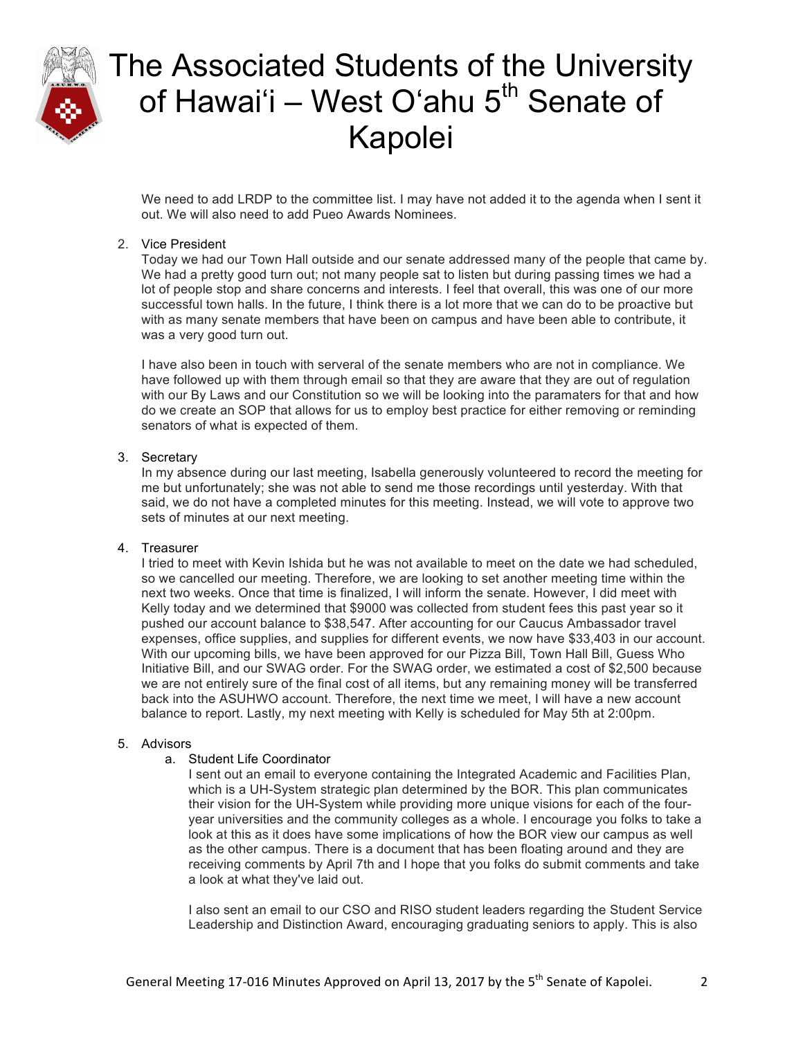

We need to add LRDP to the committee list. I may have not added it to the agenda when I sent it out. We will also need to add Pueo Awards Nominees.

### 2. Vice President

Today we had our Town Hall outside and our senate addressed many of the people that came by. We had a pretty good turn out; not many people sat to listen but during passing times we had a lot of people stop and share concerns and interests. I feel that overall, this was one of our more successful town halls. In the future, I think there is a lot more that we can do to be proactive but with as many senate members that have been on campus and have been able to contribute, it was a very good turn out.

I have also been in touch with serveral of the senate members who are not in compliance. We have followed up with them through email so that they are aware that they are out of regulation with our By Laws and our Constitution so we will be looking into the paramaters for that and how do we create an SOP that allows for us to employ best practice for either removing or reminding senators of what is expected of them.

#### 3. Secretary

In my absence during our last meeting, Isabella generously volunteered to record the meeting for me but unfortunately; she was not able to send me those recordings until yesterday. With that said, we do not have a completed minutes for this meeting. Instead, we will vote to approve two sets of minutes at our next meeting.

#### 4. Treasurer

I tried to meet with Kevin Ishida but he was not available to meet on the date we had scheduled, so we cancelled our meeting. Therefore, we are looking to set another meeting time within the next two weeks. Once that time is finalized, I will inform the senate. However, I did meet with Kelly today and we determined that \$9000 was collected from student fees this past year so it pushed our account balance to \$38,547. After accounting for our Caucus Ambassador travel expenses, office supplies, and supplies for different events, we now have \$33,403 in our account. With our upcoming bills, we have been approved for our Pizza Bill, Town Hall Bill, Guess Who Initiative Bill, and our SWAG order. For the SWAG order, we estimated a cost of \$2,500 because we are not entirely sure of the final cost of all items, but any remaining money will be transferred back into the ASUHWO account. Therefore, the next time we meet, I will have a new account balance to report. Lastly, my next meeting with Kelly is scheduled for May 5th at 2:00pm.

#### 5. Advisors

#### a. Student Life Coordinator

I sent out an email to everyone containing the Integrated Academic and Facilities Plan, which is a UH-System strategic plan determined by the BOR. This plan communicates their vision for the UH-System while providing more unique visions for each of the fouryear universities and the community colleges as a whole. I encourage you folks to take a look at this as it does have some implications of how the BOR view our campus as well as the other campus. There is a document that has been floating around and they are receiving comments by April 7th and I hope that you folks do submit comments and take a look at what they've laid out.

I also sent an email to our CSO and RISO student leaders regarding the Student Service Leadership and Distinction Award, encouraging graduating seniors to apply. This is also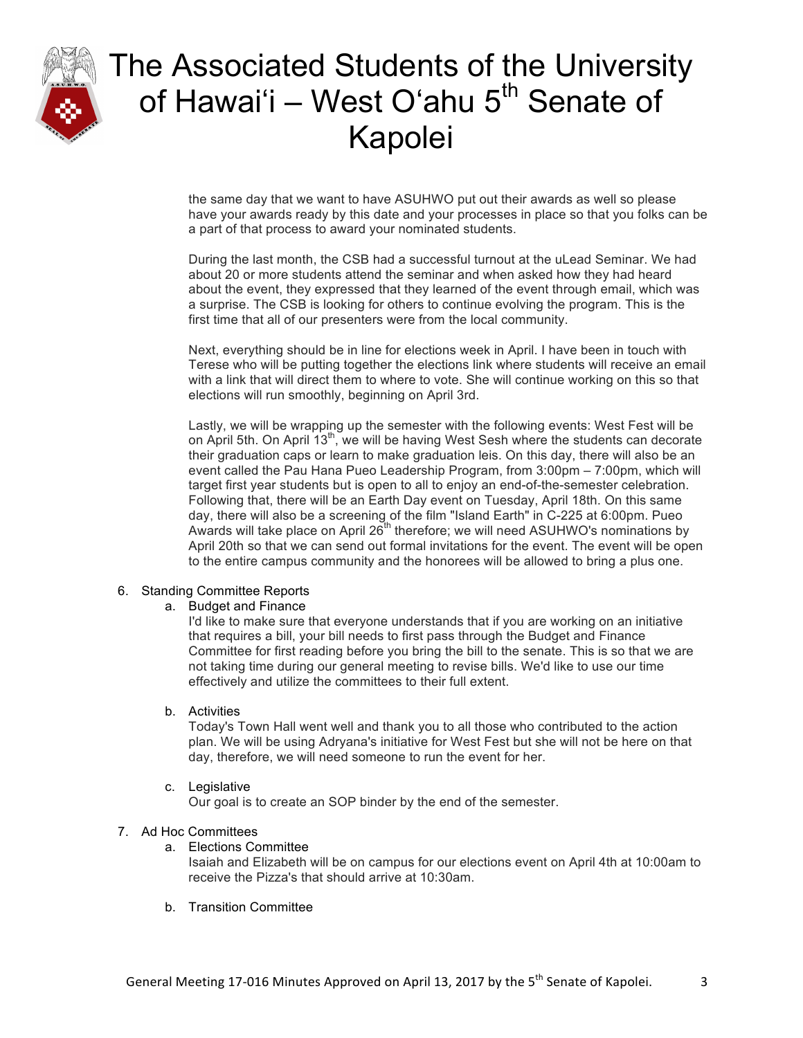

the same day that we want to have ASUHWO put out their awards as well so please have your awards ready by this date and your processes in place so that you folks can be a part of that process to award your nominated students.

During the last month, the CSB had a successful turnout at the uLead Seminar. We had about 20 or more students attend the seminar and when asked how they had heard about the event, they expressed that they learned of the event through email, which was a surprise. The CSB is looking for others to continue evolving the program. This is the first time that all of our presenters were from the local community.

Next, everything should be in line for elections week in April. I have been in touch with Terese who will be putting together the elections link where students will receive an email with a link that will direct them to where to vote. She will continue working on this so that elections will run smoothly, beginning on April 3rd.

Lastly, we will be wrapping up the semester with the following events: West Fest will be on April 5th. On April 13<sup>th</sup>, we will be having West Sesh where the students can decorate their graduation caps or learn to make graduation leis. On this day, there will also be an event called the Pau Hana Pueo Leadership Program, from 3:00pm – 7:00pm, which will target first year students but is open to all to enjoy an end-of-the-semester celebration. Following that, there will be an Earth Day event on Tuesday, April 18th. On this same day, there will also be a screening of the film "Island Earth" in C-225 at 6:00pm. Pueo Awards will take place on April  $26<sup>th</sup>$  therefore; we will need ASUHWO's nominations by April 20th so that we can send out formal invitations for the event. The event will be open to the entire campus community and the honorees will be allowed to bring a plus one.

### 6. Standing Committee Reports

### a. Budget and Finance

I'd like to make sure that everyone understands that if you are working on an initiative that requires a bill, your bill needs to first pass through the Budget and Finance Committee for first reading before you bring the bill to the senate. This is so that we are not taking time during our general meeting to revise bills. We'd like to use our time effectively and utilize the committees to their full extent.

### b. Activities

Today's Town Hall went well and thank you to all those who contributed to the action plan. We will be using Adryana's initiative for West Fest but she will not be here on that day, therefore, we will need someone to run the event for her.

### c. Legislative

Our goal is to create an SOP binder by the end of the semester.

### 7. Ad Hoc Committees

### a. Elections Committee

Isaiah and Elizabeth will be on campus for our elections event on April 4th at 10:00am to receive the Pizza's that should arrive at 10:30am.

b. Transition Committee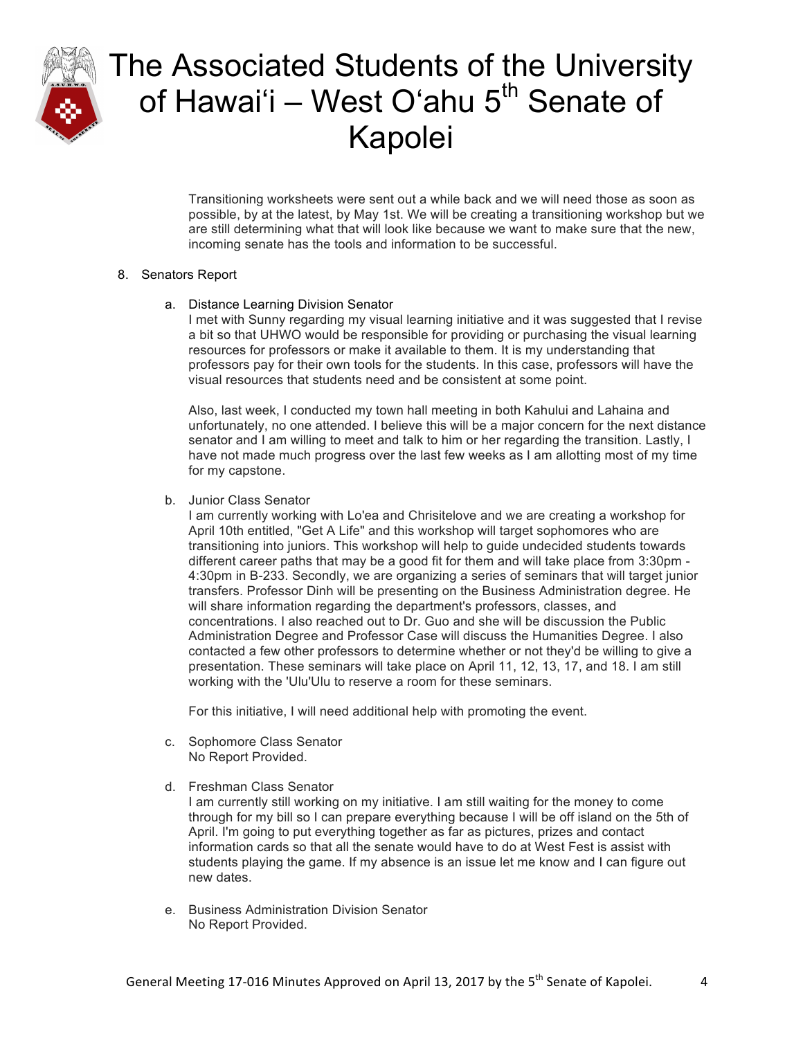

Transitioning worksheets were sent out a while back and we will need those as soon as possible, by at the latest, by May 1st. We will be creating a transitioning workshop but we are still determining what that will look like because we want to make sure that the new, incoming senate has the tools and information to be successful.

#### 8. Senators Report

a. Distance Learning Division Senator

I met with Sunny regarding my visual learning initiative and it was suggested that I revise a bit so that UHWO would be responsible for providing or purchasing the visual learning resources for professors or make it available to them. It is my understanding that professors pay for their own tools for the students. In this case, professors will have the visual resources that students need and be consistent at some point.

Also, last week, I conducted my town hall meeting in both Kahului and Lahaina and unfortunately, no one attended. I believe this will be a major concern for the next distance senator and I am willing to meet and talk to him or her regarding the transition. Lastly, I have not made much progress over the last few weeks as I am allotting most of my time for my capstone.

b. Junior Class Senator

I am currently working with Lo'ea and Chrisitelove and we are creating a workshop for April 10th entitled, "Get A Life" and this workshop will target sophomores who are transitioning into juniors. This workshop will help to guide undecided students towards different career paths that may be a good fit for them and will take place from 3:30pm - 4:30pm in B-233. Secondly, we are organizing a series of seminars that will target junior transfers. Professor Dinh will be presenting on the Business Administration degree. He will share information regarding the department's professors, classes, and concentrations. I also reached out to Dr. Guo and she will be discussion the Public Administration Degree and Professor Case will discuss the Humanities Degree. I also contacted a few other professors to determine whether or not they'd be willing to give a presentation. These seminars will take place on April 11, 12, 13, 17, and 18. I am still working with the 'Ulu'Ulu to reserve a room for these seminars.

For this initiative, I will need additional help with promoting the event.

- c. Sophomore Class Senator No Report Provided.
- d. Freshman Class Senator

I am currently still working on my initiative. I am still waiting for the money to come through for my bill so I can prepare everything because I will be off island on the 5th of April. I'm going to put everything together as far as pictures, prizes and contact information cards so that all the senate would have to do at West Fest is assist with students playing the game. If my absence is an issue let me know and I can figure out new dates.

e. Business Administration Division Senator No Report Provided.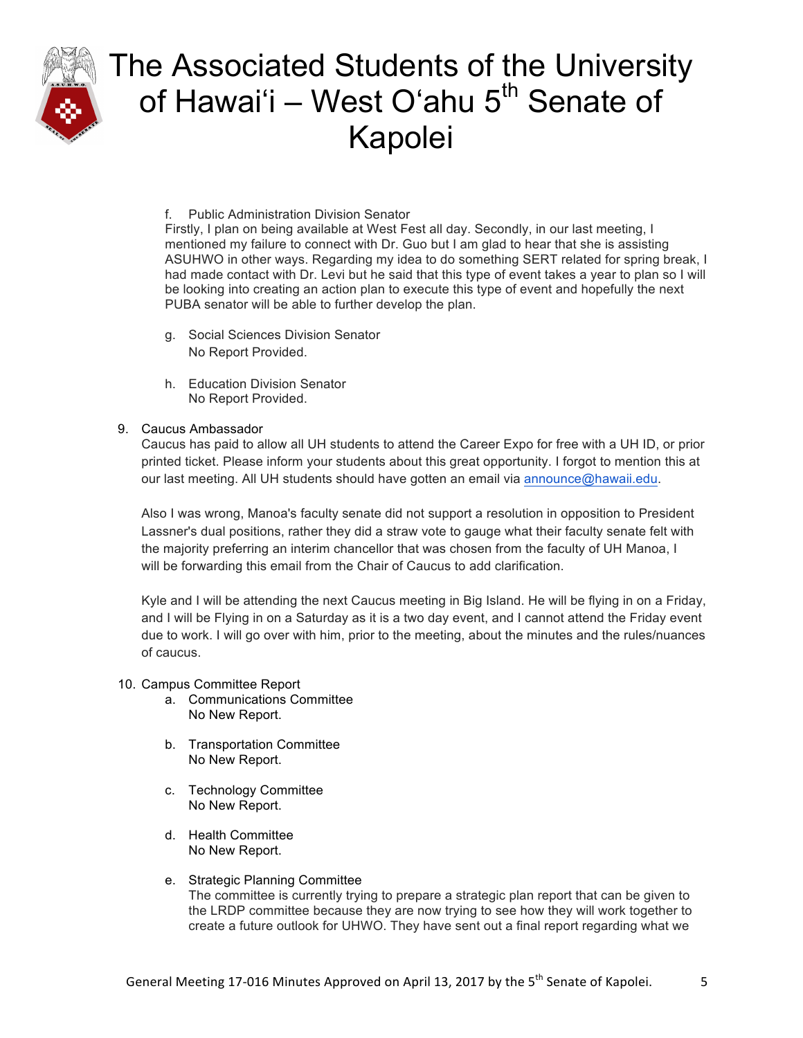

#### f. Public Administration Division Senator

Firstly, I plan on being available at West Fest all day. Secondly, in our last meeting, I mentioned my failure to connect with Dr. Guo but I am glad to hear that she is assisting ASUHWO in other ways. Regarding my idea to do something SERT related for spring break, I had made contact with Dr. Levi but he said that this type of event takes a year to plan so I will be looking into creating an action plan to execute this type of event and hopefully the next PUBA senator will be able to further develop the plan.

- g. Social Sciences Division Senator No Report Provided.
- h. Education Division Senator No Report Provided.

#### 9. Caucus Ambassador

Caucus has paid to allow all UH students to attend the Career Expo for free with a UH ID, or prior printed ticket. Please inform your students about this great opportunity. I forgot to mention this at our last meeting. All UH students should have gotten an email via announce@hawaii.edu.

Also I was wrong, Manoa's faculty senate did not support a resolution in opposition to President Lassner's dual positions, rather they did a straw vote to gauge what their faculty senate felt with the majority preferring an interim chancellor that was chosen from the faculty of UH Manoa, I will be forwarding this email from the Chair of Caucus to add clarification.

Kyle and I will be attending the next Caucus meeting in Big Island. He will be flying in on a Friday, and I will be Flying in on a Saturday as it is a two day event, and I cannot attend the Friday event due to work. I will go over with him, prior to the meeting, about the minutes and the rules/nuances of caucus.

#### 10. Campus Committee Report

- a. Communications Committee No New Report.
- b. Transportation Committee No New Report.
- c. Technology Committee No New Report.
- d. Health Committee No New Report.
- e. Strategic Planning Committee The committee is currently trying to prepare a strategic plan report that can be given to the LRDP committee because they are now trying to see how they will work together to create a future outlook for UHWO. They have sent out a final report regarding what we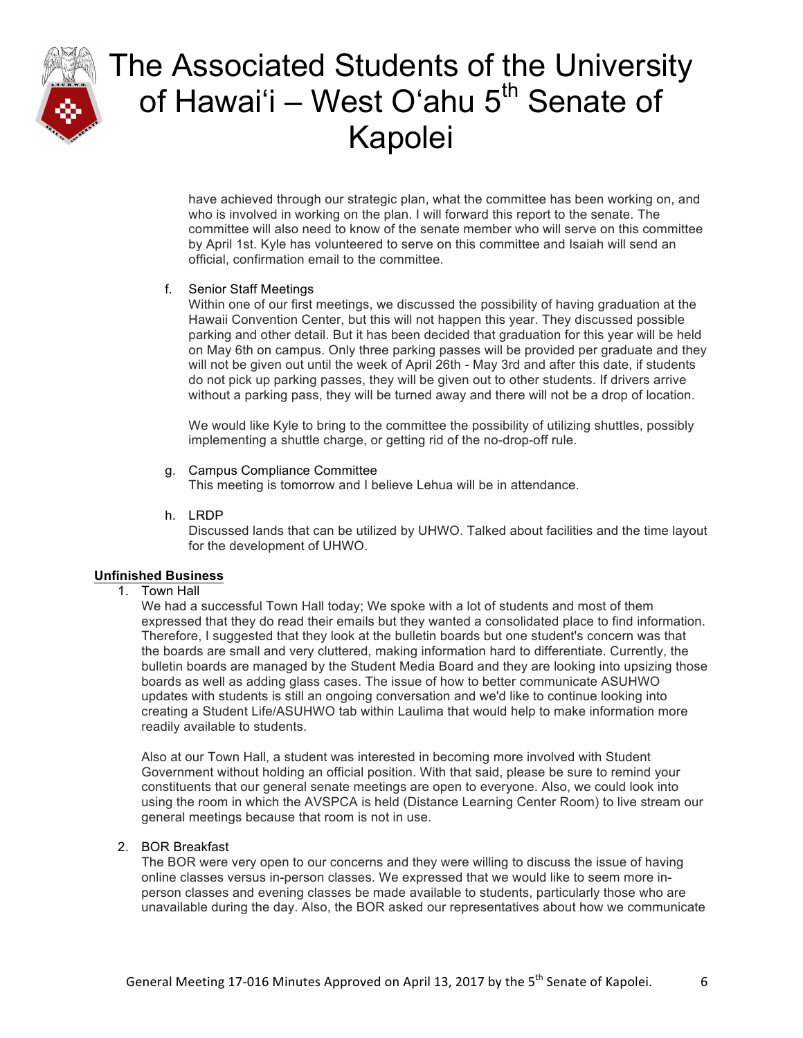

have achieved through our strategic plan, what the committee has been working on, and who is involved in working on the plan. I will forward this report to the senate. The committee will also need to know of the senate member who will serve on this committee by April 1st. Kyle has volunteered to serve on this committee and Isaiah will send an official, confirmation email to the committee.

### f. Senior Staff Meetings

Within one of our first meetings, we discussed the possibility of having graduation at the Hawaii Convention Center, but this will not happen this year. They discussed possible parking and other detail. But it has been decided that graduation for this year will be held on May 6th on campus. Only three parking passes will be provided per graduate and they will not be given out until the week of April 26th - May 3rd and after this date, if students do not pick up parking passes, they will be given out to other students. If drivers arrive without a parking pass, they will be turned away and there will not be a drop of location.

We would like Kyle to bring to the committee the possibility of utilizing shuttles, possibly implementing a shuttle charge, or getting rid of the no-drop-off rule.

#### g. Campus Compliance Committee

This meeting is tomorrow and I believe Lehua will be in attendance.

h. LRDP

Discussed lands that can be utilized by UHWO. Talked about facilities and the time layout for the development of UHWO.

### **Unfinished Business**

1. Town Hall

We had a successful Town Hall today; We spoke with a lot of students and most of them expressed that they do read their emails but they wanted a consolidated place to find information. Therefore, I suggested that they look at the bulletin boards but one student's concern was that the boards are small and very cluttered, making information hard to differentiate. Currently, the bulletin boards are managed by the Student Media Board and they are looking into upsizing those boards as well as adding glass cases. The issue of how to better communicate ASUHWO updates with students is still an ongoing conversation and we'd like to continue looking into creating a Student Life/ASUHWO tab within Laulima that would help to make information more readily available to students.

Also at our Town Hall, a student was interested in becoming more involved with Student Government without holding an official position. With that said, please be sure to remind your constituents that our general senate meetings are open to everyone. Also, we could look into using the room in which the AVSPCA is held (Distance Learning Center Room) to live stream our general meetings because that room is not in use.

### 2. BOR Breakfast

The BOR were very open to our concerns and they were willing to discuss the issue of having online classes versus in-person classes. We expressed that we would like to seem more inperson classes and evening classes be made available to students, particularly those who are unavailable during the day. Also, the BOR asked our representatives about how we communicate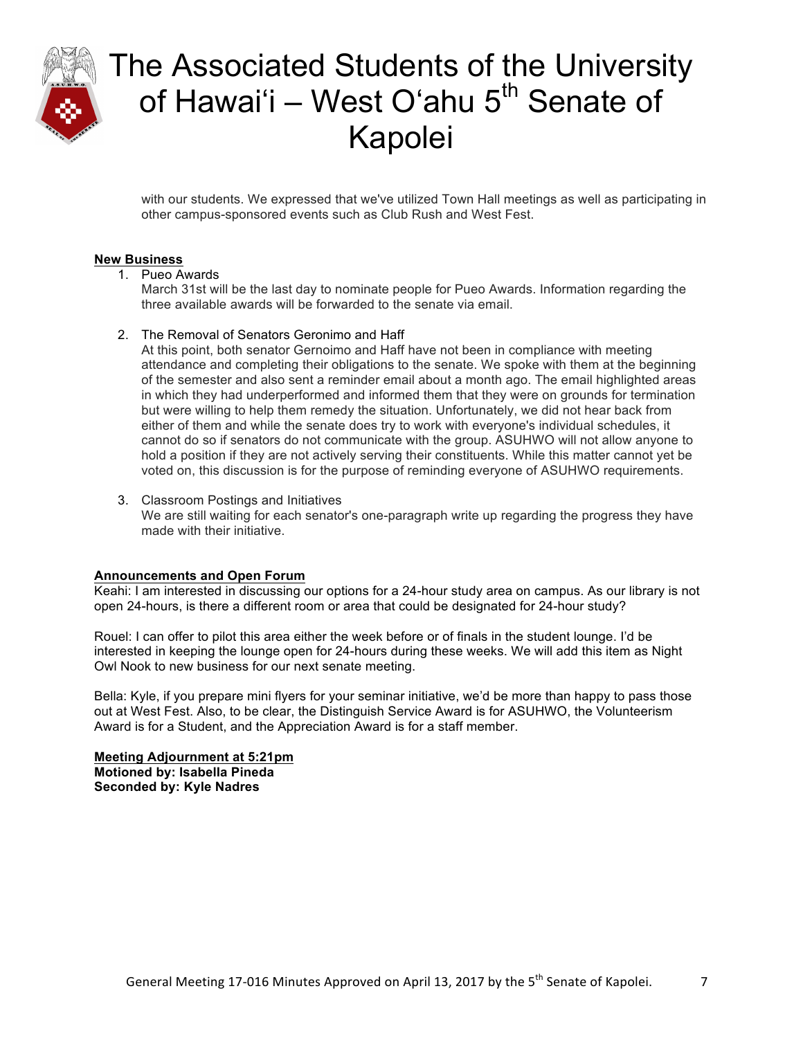

with our students. We expressed that we've utilized Town Hall meetings as well as participating in other campus-sponsored events such as Club Rush and West Fest.

### **New Business**

1. Pueo Awards

March 31st will be the last day to nominate people for Pueo Awards. Information regarding the three available awards will be forwarded to the senate via email.

2. The Removal of Senators Geronimo and Haff

At this point, both senator Gernoimo and Haff have not been in compliance with meeting attendance and completing their obligations to the senate. We spoke with them at the beginning of the semester and also sent a reminder email about a month ago. The email highlighted areas in which they had underperformed and informed them that they were on grounds for termination but were willing to help them remedy the situation. Unfortunately, we did not hear back from either of them and while the senate does try to work with everyone's individual schedules, it cannot do so if senators do not communicate with the group. ASUHWO will not allow anyone to hold a position if they are not actively serving their constituents. While this matter cannot yet be voted on, this discussion is for the purpose of reminding everyone of ASUHWO requirements.

3. Classroom Postings and Initiatives We are still waiting for each senator's one-paragraph write up regarding the progress they have made with their initiative.

#### **Announcements and Open Forum**

Keahi: I am interested in discussing our options for a 24-hour study area on campus. As our library is not open 24-hours, is there a different room or area that could be designated for 24-hour study?

Rouel: I can offer to pilot this area either the week before or of finals in the student lounge. I'd be interested in keeping the lounge open for 24-hours during these weeks. We will add this item as Night Owl Nook to new business for our next senate meeting.

Bella: Kyle, if you prepare mini flyers for your seminar initiative, we'd be more than happy to pass those out at West Fest. Also, to be clear, the Distinguish Service Award is for ASUHWO, the Volunteerism Award is for a Student, and the Appreciation Award is for a staff member.

**Meeting Adjournment at 5:21pm Motioned by: Isabella Pineda Seconded by: Kyle Nadres**